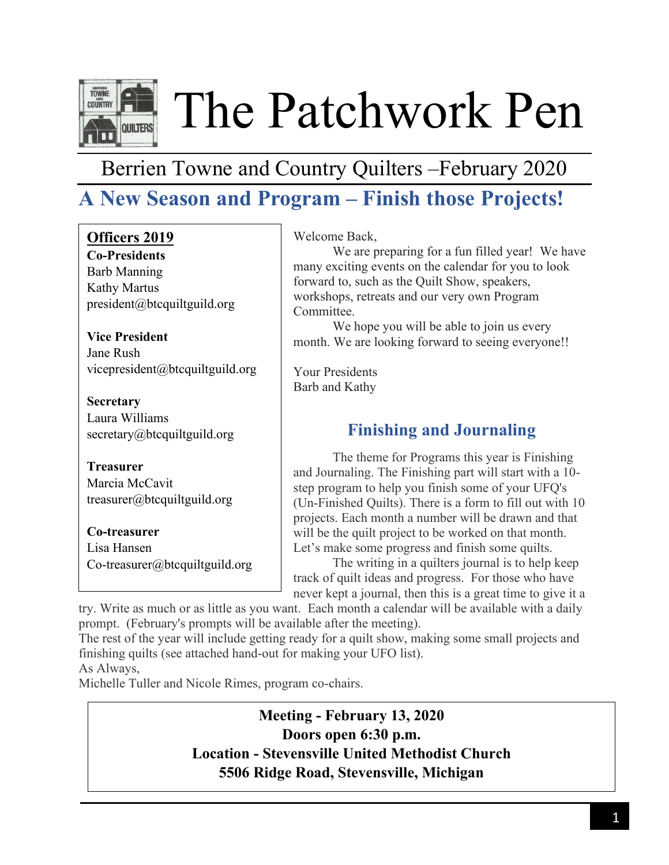

The Patchwork Pen

## Berrien Towne and Country Quilters –February 2020

## **A New Season and Program – Finish those Projects!**

| Officers 2019               |
|-----------------------------|
| <b>Co-Presidents</b>        |
| <b>Barb Manning</b>         |
| <b>Kathy Martus</b>         |
| president@btcquiltguild.org |

**Vice President** Jane Rush [vicepresident@btcquiltguild.org](mailto:vicepresident@btcquiltguild.org)

**Secretary** Laura Williams secretary@btcquiltguild.org

**Treasurer** Marcia McCavit [treasurer@btcquiltguild.org](mailto:treasurer@btcquiltguild.org)

**Co-treasurer** Lisa Hansen [Co-treasurer@btcquiltguild.org](mailto:Co-treasurer@btcquiltguild.org) Welcome Back,

We are preparing for a fun filled year! We have many exciting events on the calendar for you to look forward to, such as the Quilt Show, speakers, workshops, retreats and our very own Program Committee.

We hope you will be able to join us every month. We are looking forward to seeing everyone!!

Your Presidents Barb and Kathy

## **Finishing and Journaling**

The theme for Programs this year is Finishing and Journaling. The Finishing part will start with a 10 step program to help you finish some of your UFQ's (Un-Finished Quilts). There is a form to fill out with 10 projects. Each month a number will be drawn and that will be the quilt project to be worked on that month. Let's make some progress and finish some quilts.

The writing in a quilters journal is to help keep track of quilt ideas and progress. For those who have never kept a journal, then this is a great time to give it a

try. Write as much or as little as you want. Each month a calendar will be available with a daily prompt. (February's prompts will be available after the meeting).

The rest of the year will include getting ready for a quilt show, making some small projects and finishing quilts (see attached hand-out for making your UFO list).

As Always,

Michelle Tuller and Nicole Rimes, program co-chairs.

**Meeting - February 13, 2020 Doors open 6:30 p.m. Location - Stevensville United Methodist Church 5506 Ridge Road, Stevensville, Michigan**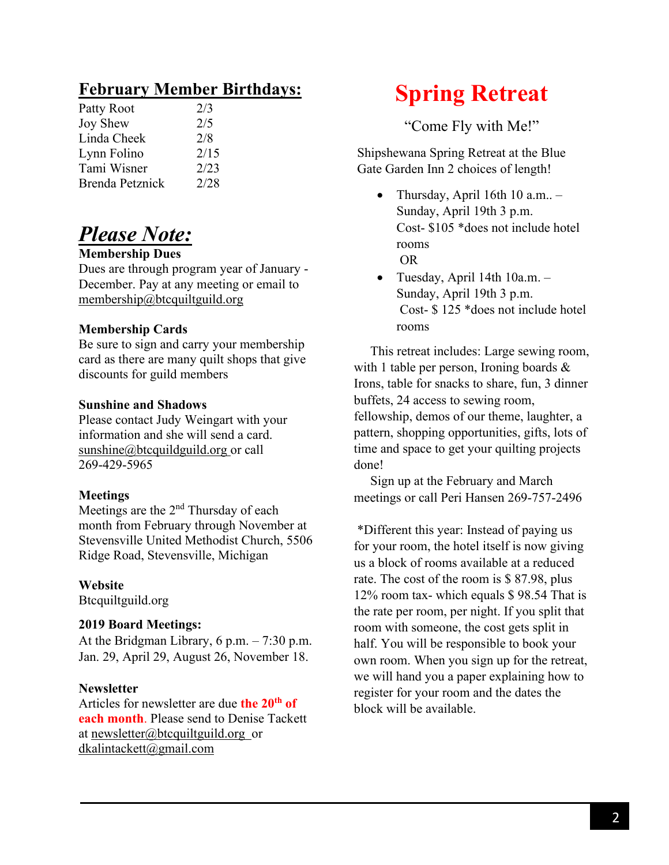## **February Member Birthdays:**

| Patty Root             | 2/3  |
|------------------------|------|
| Joy Shew               | 2/5  |
| Linda Cheek            | 2/8  |
| Lynn Folino            | 2/15 |
| Tami Wisner            | 2/23 |
| <b>Brenda Petznick</b> | 2/28 |
|                        |      |

## *Please Note:*

## **Membership Dues**

Dues are through program year of January - December. Pay at any meeting or email to [membership@btcquiltguild.org](mailto:membership@btcquiltguild.org)

### **Membership Cards**

Be sure to sign and carry your membership card as there are many quilt shops that give discounts for guild members

### **Sunshine and Shadows**

Please contact Judy Weingart with your information and she will send a card. [sunshine@btcquildguild.org](mailto:sunshine@btcquildguild.org) or call 269-429-5965

### **Meetings**

Meetings are the 2<sup>nd</sup> Thursday of each month from February through November at Stevensville United Methodist Church, 5506 Ridge Road, Stevensville, Michigan

### **Website**

Btcquiltguild.org

### **2019 Board Meetings:**

At the Bridgman Library, 6 p.m. – 7:30 p.m. Jan. 29, April 29, August 26, November 18.

### **Newsletter**

Articles for newsletter are due **the 20th of each month**. Please send to Denise Tackett at [newsletter@btcquiltguild.org](mailto:newsletter@btcquiltguild.org) or [dkalintackett@gmail.com](mailto:dkalintackett@gmail.com) 

# **Spring Retreat**

"Come Fly with Me!"

Shipshewana Spring Retreat at the Blue Gate Garden Inn 2 choices of length!

- Thursday, April 16th 10 a.m.. Sunday, April 19th 3 p.m. Cost- \$105 \*does not include hotel rooms OR
- Tuesday, April 14th 10a.m. Sunday, April 19th 3 p.m. Cost- \$ 125 \*does not include hotel rooms

 This retreat includes: Large sewing room, with 1 table per person, Ironing boards & Irons, table for snacks to share, fun, 3 dinner buffets, 24 access to sewing room, fellowship, demos of our theme, laughter, a pattern, shopping opportunities, gifts, lots of time and space to get your quilting projects done!

 Sign up at the February and March meetings or call Peri Hansen 269-757-2496

\*Different this year: Instead of paying us for your room, the hotel itself is now giving us a block of rooms available at a reduced rate. The cost of the room is \$ 87.98, plus 12% room tax- which equals \$ 98.54 That is the rate per room, per night. If you split that room with someone, the cost gets split in half. You will be responsible to book your own room. When you sign up for the retreat, we will hand you a paper explaining how to register for your room and the dates the block will be available.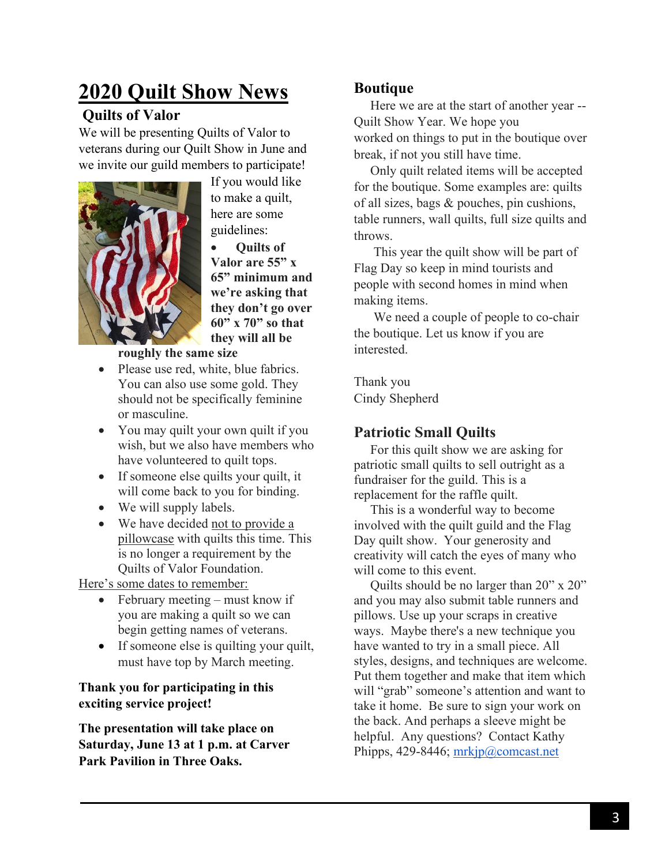# **2020 Quilt Show News**

## **Quilts of Valor**

We will be presenting Quilts of Valor to veterans during our Quilt Show in June and we invite our guild members to participate!



If you would like to make a quilt, here are some guidelines:

• **Quilts of Valor are 55" x 65" minimum and we're asking that they don't go over 60" x 70" so that they will all be** 

**roughly the same size**

- Please use red, white, blue fabrics. You can also use some gold. They should not be specifically feminine or masculine.
- You may quilt your own quilt if you wish, but we also have members who have volunteered to quilt tops.
- If someone else quilts your quilt, it will come back to you for binding.
- We will supply labels.
- We have decided not to provide a pillowcase with quilts this time. This is no longer a requirement by the Quilts of Valor Foundation.

Here's some dates to remember:

- February meeting must know if you are making a quilt so we can begin getting names of veterans.
- If some one else is quilting your quilt, must have top by March meeting.

## **Thank you for participating in this exciting service project!**

**The presentation will take place on Saturday, June 13 at 1 p.m. at Carver Park Pavilion in Three Oaks.**

## **Boutique**

 Here we are at the start of another year -- Quilt Show Year. We hope you worked on things to put in the boutique over break, if not you still have time.

 Only quilt related items will be accepted for the boutique. Some examples are: quilts of all sizes, bags & pouches, pin cushions, table runners, wall quilts, full size quilts and throws.

 This year the quilt show will be part of Flag Day so keep in mind tourists and people with second homes in mind when making items.

 We need a couple of people to co-chair the boutique. Let us know if you are interested.

Thank you Cindy Shepherd

## **Patriotic Small Quilts**

 For this quilt show we are asking for patriotic small quilts to sell outright as a fundraiser for the guild. This is a replacement for the raffle quilt.

 This is a wonderful way to become involved with the quilt guild and the Flag Day quilt show. Your generosity and creativity will catch the eyes of many who will come to this event.

 Quilts should be no larger than 20" x 20" and you may also submit table runners and pillows. Use up your scraps in creative ways. Maybe there's a new technique you have wanted to try in a small piece. All styles, designs, and techniques are welcome. Put them together and make that item which will "grab" someone's attention and want to take it home. Be sure to sign your work on the back. And perhaps a sleeve might be helpful. Any questions? Contact Kathy Phipps, 429-8446; [mrkjp@comcast.net](mailto:mrkjp@comcast.net)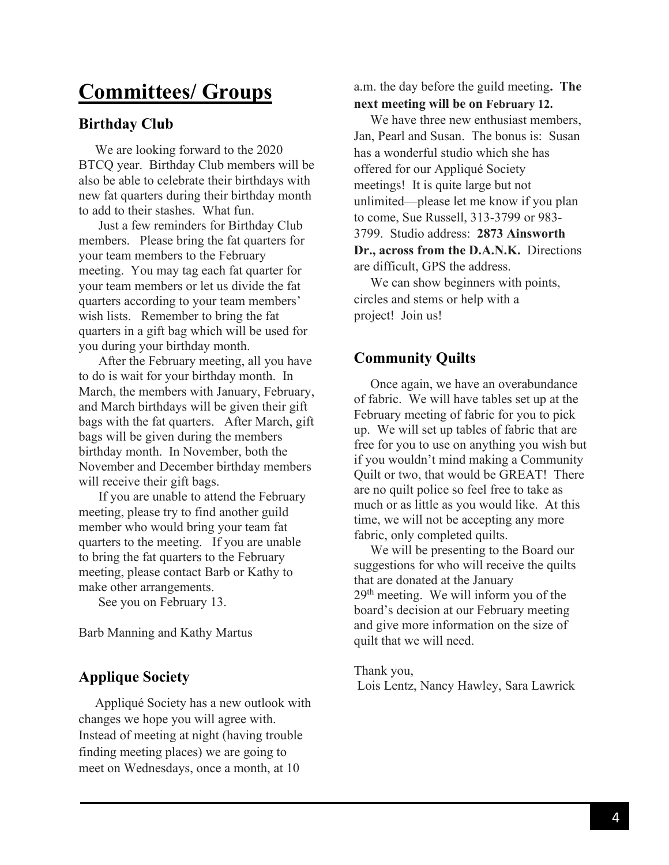## **Committees/ Groups**

## **Birthday Club**

 We are looking forward to the 2020 BTCQ year. Birthday Club members will be also be able to celebrate their birthdays with new fat quarters during their birthday month to add to their stashes. What fun.

 Just a few reminders for Birthday Club members. Please bring the fat quarters for your team members to the February meeting. You may tag each fat quarter for your team members or let us divide the fat quarters according to your team members' wish lists. Remember to bring the fat quarters in a gift bag which will be used for you during your birthday month.

 After the February meeting, all you have to do is wait for your birthday month. In March, the members with January, February, and March birthdays will be given their gift bags with the fat quarters. After March, gift bags will be given during the members birthday month. In November, both the November and December birthday members will receive their gift bags.

 If you are unable to attend the February meeting, please try to find another guild member who would bring your team fat quarters to the meeting. If you are unable to bring the fat quarters to the February meeting, please contact Barb or Kathy to make other arrangements.

See you on February 13.

Barb Manning and Kathy Martus

## **Applique Society**

 Appliqué Society has a new outlook with changes we hope you will agree with. Instead of meeting at night (having trouble finding meeting places) we are going to meet on Wednesdays, once a month, at 10

a.m. the day before the guild meeting**. The next meeting will be on February 12.**

 We have three new enthusiast members, Jan, Pearl and Susan. The bonus is: Susan has a wonderful studio which she has offered for our Appliqué Society meetings! It is quite large but not unlimited—please let me know if you plan to come, Sue Russell, 313-3799 or 983- 3799. Studio address: **2873 Ainsworth Dr., across from the D.A.N.K.** Directions are difficult, GPS the address.

 We can show beginners with points, circles and stems or help with a project! Join us!

## **Community Quilts**

 Once again, we have an overabundance of fabric. We will have tables set up at the February meeting of fabric for you to pick up. We will set up tables of fabric that are free for you to use on anything you wish but if you wouldn't mind making a Community Quilt or two, that would be GREAT! There are no quilt police so feel free to take as much or as little as you would like. At this time, we will not be accepting any more fabric, only completed quilts.

 We will be presenting to the Board our suggestions for who will receive the quilts that are donated at the January  $29<sup>th</sup>$  meeting. We will inform you of the board's decision at our February meeting and give more information on the size of quilt that we will need.

Thank you, Lois Lentz, Nancy Hawley, Sara Lawrick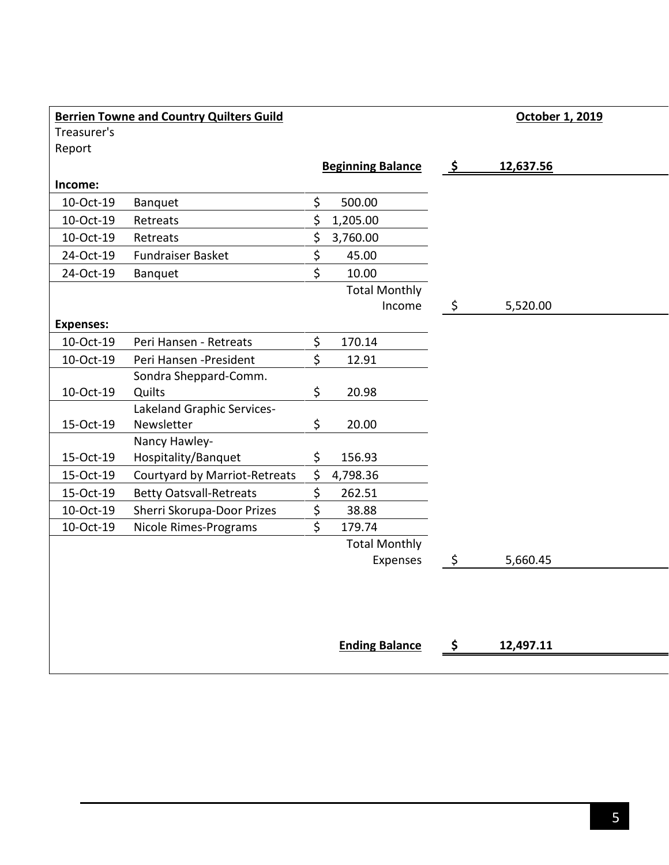| <b>Berrien Towne and Country Quilters Guild</b> |         |                      |                                    | October 1, 2019 |           |
|-------------------------------------------------|---------|----------------------|------------------------------------|-----------------|-----------|
|                                                 |         |                      |                                    |                 |           |
|                                                 |         |                      |                                    |                 |           |
|                                                 |         |                      |                                    |                 |           |
|                                                 |         |                      |                                    |                 |           |
|                                                 |         |                      |                                    |                 |           |
| Retreats                                        |         | 1,205.00             |                                    |                 |           |
| Retreats                                        | \$      | 3,760.00             |                                    |                 |           |
| <b>Fundraiser Basket</b>                        | \$      | 45.00                |                                    |                 |           |
| Banquet                                         | \$      | 10.00                |                                    |                 |           |
|                                                 |         | <b>Total Monthly</b> |                                    |                 |           |
|                                                 |         | Income               | \$                                 | 5,520.00        |           |
|                                                 |         |                      |                                    |                 |           |
| Peri Hansen - Retreats                          | \$      | 170.14               |                                    |                 |           |
| Peri Hansen - President                         | Ś       | 12.91                |                                    |                 |           |
| Sondra Sheppard-Comm.                           |         |                      |                                    |                 |           |
| Quilts                                          | \$      | 20.98                |                                    |                 |           |
| Lakeland Graphic Services-                      |         |                      |                                    |                 |           |
| Newsletter                                      | \$      | 20.00                |                                    |                 |           |
| Nancy Hawley-                                   |         |                      |                                    |                 |           |
| Hospitality/Banquet                             | \$      | 156.93               |                                    |                 |           |
| Courtyard by Marriot-Retreats                   | \$      | 4,798.36             |                                    |                 |           |
| <b>Betty Oatsvall-Retreats</b>                  | \$      | 262.51               |                                    |                 |           |
| Sherri Skorupa-Door Prizes                      | \$      | 38.88                |                                    |                 |           |
| Nicole Rimes-Programs                           | \$      | 179.74               |                                    |                 |           |
|                                                 |         | <b>Total Monthly</b> |                                    |                 |           |
|                                                 |         | Expenses             | \$                                 | 5,660.45        |           |
|                                                 |         |                      |                                    |                 |           |
|                                                 | Banquet | \$<br>\$             | <b>Beginning Balance</b><br>500.00 | -\$             | 12,637.56 |

**Ending Balance \$ 12,497.11**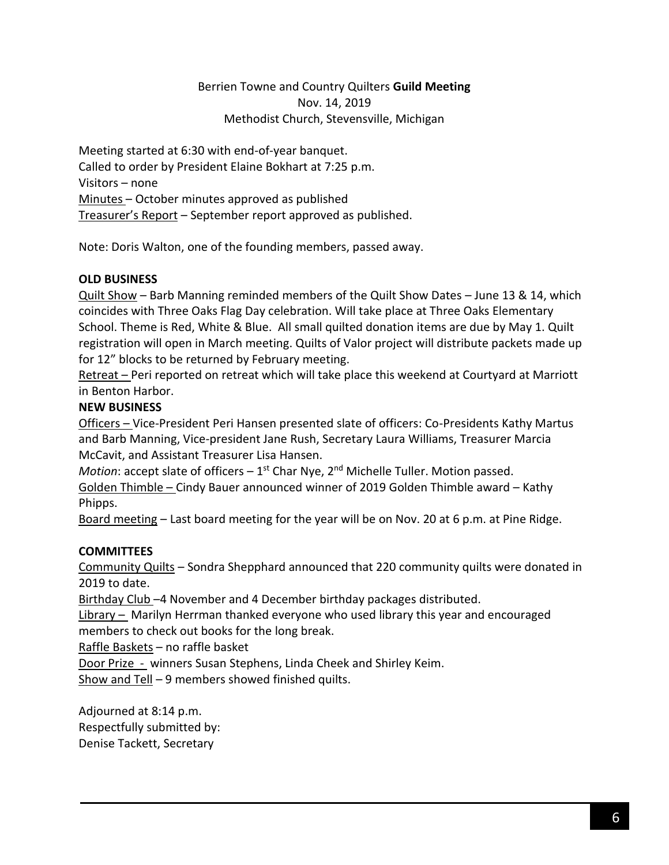### Berrien Towne and Country Quilters **Guild Meeting** Nov. 14, 2019 Methodist Church, Stevensville, Michigan

Meeting started at 6:30 with end-of-year banquet. Called to order by President Elaine Bokhart at 7:25 p.m. Visitors – none Minutes – October minutes approved as published Treasurer's Report – September report approved as published.

Note: Doris Walton, one of the founding members, passed away.

### **OLD BUSINESS**

Quilt Show – Barb Manning reminded members of the Quilt Show Dates – June 13 & 14, which coincides with Three Oaks Flag Day celebration. Will take place at Three Oaks Elementary School. Theme is Red, White & Blue. All small quilted donation items are due by May 1. Quilt registration will open in March meeting. Quilts of Valor project will distribute packets made up for 12" blocks to be returned by February meeting.

Retreat – Peri reported on retreat which will take place this weekend at Courtyard at Marriott in Benton Harbor.

### **NEW BUSINESS**

Officers – Vice-President Peri Hansen presented slate of officers: Co-Presidents Kathy Martus and Barb Manning, Vice-president Jane Rush, Secretary Laura Williams, Treasurer Marcia McCavit, and Assistant Treasurer Lisa Hansen.

*Motion*: accept slate of officers – 1<sup>st</sup> Char Nye, 2<sup>nd</sup> Michelle Tuller. Motion passed.

Golden Thimble – Cindy Bauer announced winner of 2019 Golden Thimble award – Kathy Phipps.

Board meeting – Last board meeting for the year will be on Nov. 20 at 6 p.m. at Pine Ridge.

## **COMMITTEES**

Community Quilts – Sondra Shepphard announced that 220 community quilts were donated in 2019 to date.

Birthday Club -4 November and 4 December birthday packages distributed.

Library – Marilyn Herrman thanked everyone who used library this year and encouraged members to check out books for the long break.

Raffle Baskets – no raffle basket

Door Prize - winners Susan Stephens, Linda Cheek and Shirley Keim. Show and Tell – 9 members showed finished quilts.

Adjourned at 8:14 p.m. Respectfully submitted by: Denise Tackett, Secretary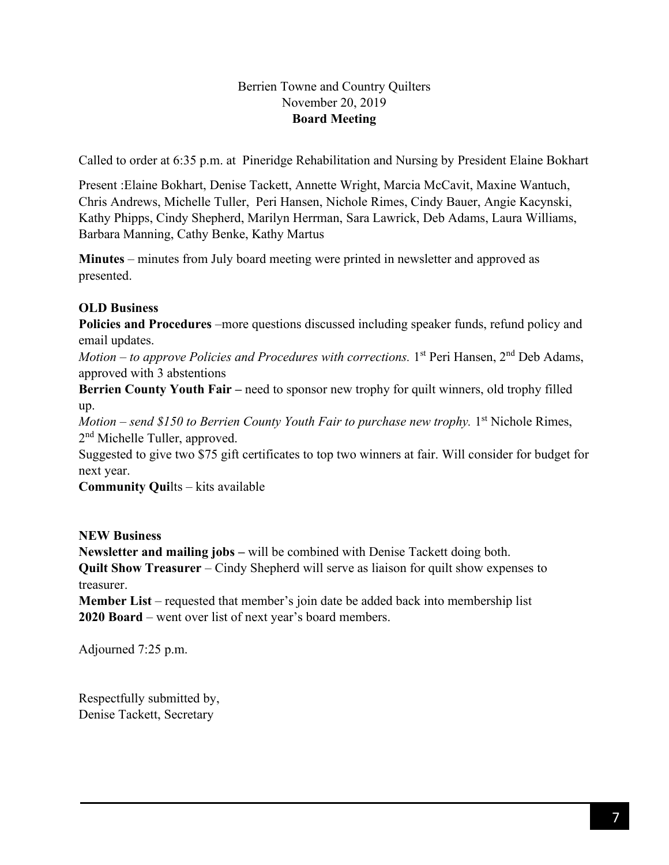## Berrien Towne and Country Quilters November 20, 2019 **Board Meeting**

Called to order at 6:35 p.m. at Pineridge Rehabilitation and Nursing by President Elaine Bokhart

Present :Elaine Bokhart, Denise Tackett, Annette Wright, Marcia McCavit, Maxine Wantuch, Chris Andrews, Michelle Tuller, Peri Hansen, Nichole Rimes, Cindy Bauer, Angie Kacynski, Kathy Phipps, Cindy Shepherd, Marilyn Herrman, Sara Lawrick, Deb Adams, Laura Williams, Barbara Manning, Cathy Benke, Kathy Martus

**Minutes** – minutes from July board meeting were printed in newsletter and approved as presented.

## **OLD Business**

**Policies and Procedures** –more questions discussed including speaker funds, refund policy and email updates.

Motion – to approve Policies and Procedures with corrections. 1<sup>st</sup> Peri Hansen, 2<sup>nd</sup> Deb Adams, approved with 3 abstentions

**Berrien County Youth Fair – need to sponsor new trophy for quilt winners, old trophy filled** up.

Motion – send \$150 to Berrien County Youth Fair to purchase new trophy. 1<sup>st</sup> Nichole Rimes, 2<sup>nd</sup> Michelle Tuller, approved.

Suggested to give two \$75 gift certificates to top two winners at fair. Will consider for budget for next year.

**Community Qui**lts – kits available

## **NEW Business**

**Newsletter and mailing jobs –** will be combined with Denise Tackett doing both. **Quilt Show Treasurer** – Cindy Shepherd will serve as liaison for quilt show expenses to treasurer.

**Member List** – requested that member's join date be added back into membership list **2020 Board** – went over list of next year's board members.

Adjourned 7:25 p.m.

Respectfully submitted by, Denise Tackett, Secretary